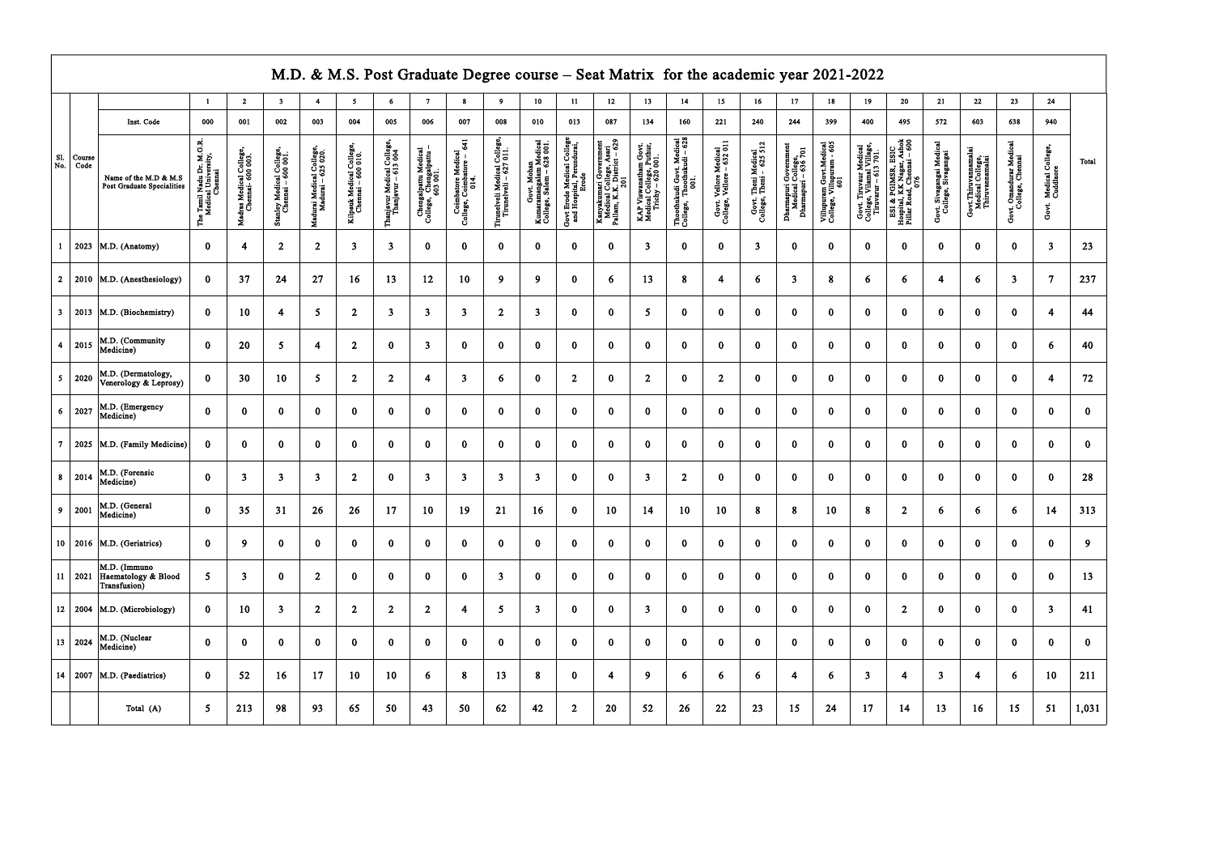|                   | M.D. & M.S. Post Graduate Degree course - Seat Matrix for the academic year 2021-2022<br>13 <sup>7</sup><br>16 <sup>1</sup><br>19 <sup>°</sup><br>20<br>21<br>22<br>23<br>24<br>$\overline{\mathbf{3}}$<br>6<br>8<br>9<br>10<br>11<br>12<br>14<br>15<br>17<br>18<br>$\mathbf{1}$<br>$\overline{2}$<br>$\sim$<br>$\overline{7}$<br>4 |                                                     |                                                                                         |                                             |                                                |                                                |                                              |                                                         |                                                             |                                                         |                                                     |                                                                    |                                                                  |                                                                                                                           |                                                                        |                                                                 |                                                     |                                                 |                                                                   |                                                             |                                                                             |                                                                                     |                                                 |                                                             |                                             |                                        |              |
|-------------------|-------------------------------------------------------------------------------------------------------------------------------------------------------------------------------------------------------------------------------------------------------------------------------------------------------------------------------------|-----------------------------------------------------|-----------------------------------------------------------------------------------------|---------------------------------------------|------------------------------------------------|------------------------------------------------|----------------------------------------------|---------------------------------------------------------|-------------------------------------------------------------|---------------------------------------------------------|-----------------------------------------------------|--------------------------------------------------------------------|------------------------------------------------------------------|---------------------------------------------------------------------------------------------------------------------------|------------------------------------------------------------------------|-----------------------------------------------------------------|-----------------------------------------------------|-------------------------------------------------|-------------------------------------------------------------------|-------------------------------------------------------------|-----------------------------------------------------------------------------|-------------------------------------------------------------------------------------|-------------------------------------------------|-------------------------------------------------------------|---------------------------------------------|----------------------------------------|--------------|
|                   |                                                                                                                                                                                                                                                                                                                                     |                                                     |                                                                                         |                                             |                                                |                                                |                                              |                                                         |                                                             |                                                         |                                                     |                                                                    |                                                                  |                                                                                                                           |                                                                        |                                                                 |                                                     |                                                 |                                                                   |                                                             |                                                                             |                                                                                     |                                                 |                                                             |                                             |                                        |              |
|                   |                                                                                                                                                                                                                                                                                                                                     | Inst. Code                                          | 000                                                                                     | 001                                         | 002                                            | 003                                            | 004                                          | 005                                                     | 006                                                         | 007                                                     | 008                                                 | 010                                                                | 013                                                              | 087                                                                                                                       | 134                                                                    | 160                                                             | 221                                                 | 240                                             | 244                                                               | 399                                                         | 400                                                                         | 495                                                                                 | 572                                             | 603                                                         | 638                                         | 940                                    |              |
| <b>S1.</b><br>No. | Course<br>Code                                                                                                                                                                                                                                                                                                                      | Name of the M.D & M.S<br>Post Graduate Specialities | . M.G.R.<br>sity,<br>Ä<br>Nadu<br>1 Univ<br><sup>2</sup> hemu<br>The Tamil I<br>Medical | Madras Medical College,<br>Chemai- 600 003. | Stanley Medical College,<br>Chennai – 600 001. | Madurai Medical College,<br>Madurai – 625 020. | Kilpauk Medical College<br>Chemai – 600 010. | <b>Thanjavur Medical College</b><br>Thanjavur – 613 004 | Chengalpattu Medical<br>College, Chengalpattu –<br>603 001. | Coimbatore Medical<br>College, Coimbatore – 641<br>014. | Firmelveli Medical College<br>Tirmelveli – 627 011. | Govt. Mohan<br>Kumaramangalam Medical<br>College, Salem – 628 001. | Govt Erode Medical College<br>and Hospital, Perundurai,<br>Erode | vermment<br>3, Asari<br>rict – 629<br>Kanyakumari Governm<br>Medical College, Ass<br>Pallam, K.K. District<br>Pallam, 201 | KAP Viswanatham Govt.<br>Medical College, Puthur,<br>Trichy – 620 001. | Thoothukudi Govt. Medical<br>College, Thoothukudi – 628<br>001. | Govt. Vellore Medical<br>College, Vellore – 632 011 | Govt. Theni Medical<br>College, Theni - 625 512 | Dharmapuri Government<br>Medical College,<br>Dharmapuri – 636 701 | Villupuram Govt.Medical<br>College, Villupuram - 605<br>601 | Govt. Tiruvaur Medical<br>College, Vilamal Village,<br>Tiruvarur – 613 701. | ESI & PGIMSR, ESIC<br>Hospital, KK Nagar, Ashok<br>Pillar Road, Chemai – 600<br>076 | Govt. Sivagangai Medical<br>College, Sivagangai | Govt.Thiruvannamalai<br>Medical College,<br>Thiruvannamalai | Govt. Omandurar Medical<br>College, Chennai | Medical College,<br>Cuddlaore<br>Govt. | Total        |
| $\mathbf{1}$      |                                                                                                                                                                                                                                                                                                                                     | $\vert$ 2023   M.D. (Anatomy)                       | $\mathbf{0}$                                                                            | 4                                           | $\overline{2}$                                 | $\overline{2}$                                 | $\overline{\mathbf{3}}$                      | $\overline{\mathbf{3}}$                                 | $\Omega$                                                    | $\mathbf{0}$                                            | $\mathbf{0}$                                        | $\bf{0}$                                                           | $\mathbf{0}$                                                     | $\Omega$                                                                                                                  | 3 <sup>1</sup>                                                         | $\mathbf{0}$                                                    | $\Omega$                                            | $\mathbf{3}$                                    | $\mathbf{0}$                                                      | $\mathbf{0}$                                                | $\mathbf{0}$                                                                | $\bf{0}$                                                                            | $\mathbf{0}$                                    | $\Omega$                                                    | $\mathbf{0}$                                | $\mathbf{3}$                           | 23           |
|                   | 2   2010                                                                                                                                                                                                                                                                                                                            | M.D. (Anesthesiology)                               | $\mathbf{0}$                                                                            | 37                                          | 24                                             | 27                                             | 16                                           | 13                                                      | 12                                                          | 10                                                      | 9 <sup>°</sup>                                      | 9                                                                  | $\bf{0}$                                                         | 6                                                                                                                         | 13                                                                     | 8                                                               | $\overline{4}$                                      | 6                                               | $\overline{\mathbf{3}}$                                           | 8                                                           | 6                                                                           | 6                                                                                   | $\overline{4}$                                  | 6                                                           | $\overline{\mathbf{3}}$                     | $\overline{7}$                         | 237          |
| 3 <sub>1</sub>    |                                                                                                                                                                                                                                                                                                                                     | $\vert$ 2013   M.D. (Biochemistry)                  | $\mathbf{0}$                                                                            | 10                                          | 4                                              | 5 <sub>1</sub>                                 | $\overline{2}$                               | $\overline{\mathbf{3}}$                                 | -3                                                          | $\overline{\mathbf{3}}$                                 | $\overline{2}$                                      | $\overline{\mathbf{3}}$                                            | $\bf{0}$                                                         | $\bf{0}$                                                                                                                  | $5\overline{)}$                                                        | $\bf{0}$                                                        | $\bf{0}$                                            | $\mathbf{0}$                                    | $\bf{0}$                                                          | $\bf{0}$                                                    | $\bf{0}$                                                                    | $\bf{0}$                                                                            | $\mathbf{0}$                                    | $\bf{0}$                                                    | $\mathbf{0}$                                | 4                                      | 44           |
| 4 <sup>1</sup>    | $\vert$ 2015                                                                                                                                                                                                                                                                                                                        | M.D. (Community<br>Medicine)                        | $\mathbf{0}$                                                                            | 20                                          | $\overline{\mathbf{5}}$                        | $\overline{\mathbf{4}}$                        | $\overline{2}$                               | $\bf{0}$                                                | 3                                                           | $\bf{0}$                                                | $\mathbf{0}$                                        | $\bf{0}$                                                           | $\bf{0}$                                                         | $\mathbf 0$                                                                                                               | $\bf{0}$                                                               | $\bf{0}$                                                        | $\bf{0}$                                            | $\mathbf{0}$                                    | $\bf{0}$                                                          | $\mathbf{0}$                                                | $\bf{0}$                                                                    | $\bf{0}$                                                                            | $\mathbf{0}$                                    | $\mathbf{0}$                                                | $\mathbf{0}$                                | 6                                      | 40           |
| 5 <sub>1</sub>    | $\vert$ 2020                                                                                                                                                                                                                                                                                                                        | M.D. (Dermatology,<br>Venerology & Leprosy)         | $\mathbf{0}$                                                                            | 30                                          | 10                                             | 5 <sup>5</sup>                                 | $\overline{2}$                               | $\overline{2}$                                          | 4                                                           | $\overline{\mathbf{3}}$                                 | 6                                                   | $\bf{0}$                                                           | 2 <sup>1</sup>                                                   | $\mathbf{0}$                                                                                                              | $\overline{2}$                                                         | $\bf{0}$                                                        | $\overline{2}$                                      | $\mathbf{0}$                                    | $\mathbf{0}$                                                      | $\mathbf{0}$                                                | $\mathbf{0}$                                                                | $\bf{0}$                                                                            | $\mathbf{0}$                                    | $\mathbf{0}$                                                | $\mathbf{0}$                                | $\overline{4}$                         | 72           |
| 6                 | $\vert$ 2027                                                                                                                                                                                                                                                                                                                        | M.D. (Emergency<br>Medicine)                        | $\mathbf{0}$                                                                            | $\mathbf{0}$                                | $\bf{0}$                                       | $\mathbf{0}$                                   | $\bf{0}$                                     | $\bf{0}$                                                | $\Omega$                                                    | $\mathbf{0}$                                            | $\bf{0}$                                            | $\bf{0}$                                                           | $\bf{0}$                                                         | $\mathbf{0}$                                                                                                              | $\bf{0}$                                                               | $\Omega$                                                        | $\bf{0}$                                            | $\mathbf{0}$                                    | $\mathbf{0}$                                                      | $\bf{0}$                                                    | $\bf{0}$                                                                    | $\bf{0}$                                                                            | $\mathbf{0}$                                    | $\Omega$                                                    | $\mathbf{0}$                                | $\bf{0}$                               | $\mathbf{0}$ |
|                   | 7   2025                                                                                                                                                                                                                                                                                                                            | M.D. (Family Medicine)                              | $\bf{0}$                                                                                | $\bf{0}$                                    | $\bf{0}$                                       | $\bf{0}$                                       | $\bf{0}$                                     | $\bf{0}$                                                | $\bf{0}$                                                    | $\bf{0}$                                                | $\mathbf{0}$                                        | $\bf{0}$                                                           | $\bf{0}$                                                         | $\bf{0}$                                                                                                                  | $\bf{0}$                                                               | $\bf{0}$                                                        | $\bf{0}$                                            | $\bf{0}$                                        | $\bf{0}$                                                          | $\bf{0}$                                                    | $\bf{0}$                                                                    | $\bf{0}$                                                                            | $\mathbf{0}$                                    | $\bf{0}$                                                    | $\mathbf{0}$                                | $\bf{0}$                               | $\bf{0}$     |
|                   | $8 \mid 2014$                                                                                                                                                                                                                                                                                                                       | M.D. (Forensic<br>Medicine)                         | $\bf{0}$                                                                                | 3                                           | $\overline{\mathbf{3}}$                        | $\overline{3}$                                 | $\overline{2}$                               | $\bf{0}$                                                | -3                                                          | $\overline{\mathbf{3}}$                                 | $\overline{\mathbf{3}}$                             | $\overline{3}$                                                     | $\bf{0}$                                                         | $\mathbf{0}$                                                                                                              | 3 <sup>1</sup>                                                         | 2 <sup>1</sup>                                                  | $\bf{0}$                                            | $\mathbf{0}$                                    | $\mathbf{0}$                                                      | $\bf{0}$                                                    | $\mathbf{0}$                                                                | $\bf{0}$                                                                            | $\mathbf{0}$                                    | $\Omega$                                                    | $\mathbf{0}$                                | $\bf{0}$                               | 28           |
| 9 <sup>1</sup>    | $\vert$ 2001                                                                                                                                                                                                                                                                                                                        | M.D. (General<br>Medicine)                          | $\mathbf{0}$                                                                            | 35                                          | 31                                             | 26                                             | 26                                           | 17                                                      | 10                                                          | 19                                                      | 21                                                  | 16                                                                 | $\bf{0}$                                                         | 10                                                                                                                        | 14                                                                     | 10                                                              | 10                                                  | $8\phantom{.}$                                  | 8                                                                 | 10                                                          | 8                                                                           | $\overline{2}$                                                                      | 6                                               | 6                                                           | 6                                           | 14                                     | 313          |
|                   |                                                                                                                                                                                                                                                                                                                                     | 10   2016   M.D. (Geriatrics)                       | $\bf{0}$                                                                                | 9                                           | $\mathbf{0}$                                   | $\bf{0}$                                       | $\bf{0}$                                     | $\bf{0}$                                                | $\bf{0}$                                                    | $\bf{0}$                                                | $\mathbf{0}$                                        | $\bf{0}$                                                           | $\bf{0}$                                                         | $\bf{0}$                                                                                                                  | $\bf{0}$                                                               | $\bf{0}$                                                        | $\bf{0}$                                            | $\bf{0}$                                        | $\bf{0}$                                                          | $\mathbf{0}$                                                | $\bf{0}$                                                                    | $\mathbf{0}$                                                                        | $\mathbf{0}$                                    | $\bf{0}$                                                    | $\mathbf{0}$                                | $\bf{0}$                               | 9            |
|                   | $11 \mid 2021$                                                                                                                                                                                                                                                                                                                      | M.D. (Immuno<br>Haematology & Blood<br>Transfusion) | 5 <sup>5</sup>                                                                          | 3                                           | $\mathbf{0}$                                   | $\overline{2}$                                 | $\bf{0}$                                     | $\bf{0}$                                                | $\mathbf{0}$                                                | $\bf{0}$                                                | $\overline{\mathbf{3}}$                             | $\bf{0}$                                                           | $\mathbf{0}$                                                     | $\bf{0}$                                                                                                                  | $\bf{0}$                                                               | $\bf{0}$                                                        | $\bf{0}$                                            | $\mathbf{0}$                                    | $\bf{0}$                                                          | $\bf{0}$                                                    | $\bf{0}$                                                                    | $\bf{0}$                                                                            | $\mathbf{0}$                                    | $\mathbf{0}$                                                | $\mathbf{0}$                                | $\mathbf{0}$                           | 13           |
|                   |                                                                                                                                                                                                                                                                                                                                     | $12 \mid 2004 \mid M.D.$ (Microbiology)             | $\mathbf{0}$                                                                            | 10                                          | $\mathbf{3}$                                   | $\overline{2}$                                 | $\overline{2}$                               | $\overline{2}$                                          | $\overline{2}$                                              | $\overline{4}$                                          | 5 <sub>5</sub>                                      | $\overline{\mathbf{3}}$                                            | $\bf{0}$                                                         | $\bf{0}$                                                                                                                  | 3 <sup>1</sup>                                                         | $\bf{0}$                                                        | $\bf{0}$                                            | $\mathbf{0}$                                    | $\bf{0}$                                                          | $\bf{0}$                                                    | $\bf{0}$                                                                    | $\overline{2}$                                                                      | $\bf{0}$                                        | $\bf{0}$                                                    | $\mathbf{0}$                                | $\mathbf{3}$                           | 41           |
|                   | $13 \mid 2024$                                                                                                                                                                                                                                                                                                                      | M.D. (Nuclear<br>Medicine)                          | $\bf{0}$                                                                                | $\bf{0}$                                    | $\bf{0}$                                       | $\bf{0}$                                       | $\bf{0}$                                     | $\bf{0}$                                                | $\bf{0}$                                                    | $\bf{0}$                                                | $\mathbf{0}$                                        | $\bf{0}$                                                           | $\bf{0}$                                                         | $\bf{0}$                                                                                                                  | $\bf{0}$                                                               | $\bf{0}$                                                        | $\bf{0}$                                            | $\mathbf{0}$                                    | $\bf{0}$                                                          | $\bf{0}$                                                    | $\bf{0}$                                                                    | $\bf{0}$                                                                            | $\mathbf{0}$                                    | $\mathbf{0}$                                                | $\mathbf{0}$                                | $\bf{0}$                               | $\bf{0}$     |
|                   |                                                                                                                                                                                                                                                                                                                                     | 14   2007   M.D. (Paediatrics)                      | $\bf{0}$                                                                                | 52                                          | 16                                             | 17                                             | 10                                           | 10                                                      | 6                                                           | 8                                                       | 13                                                  | 8                                                                  | $\mathbf{0}$                                                     | -4                                                                                                                        | 9                                                                      | 6                                                               | 6                                                   | 6                                               | $\overline{\mathbf{4}}$                                           | 6                                                           | $\mathbf{3}$                                                                | $\overline{\mathbf{4}}$                                                             | 3 <sup>1</sup>                                  | 4                                                           | 6                                           | 10                                     | 211          |
|                   |                                                                                                                                                                                                                                                                                                                                     | Total (A)                                           | 5 <sup>5</sup>                                                                          | 213                                         | 98                                             | 93                                             | 65                                           | 50                                                      | 43                                                          | 50                                                      | 62                                                  | 42                                                                 | $\overline{2}$                                                   | 20                                                                                                                        | 52                                                                     | 26                                                              | 22                                                  | 23                                              | 15                                                                | 24                                                          | 17                                                                          | 14                                                                                  | 13                                              | 16                                                          | 15                                          | 51                                     | 1,031        |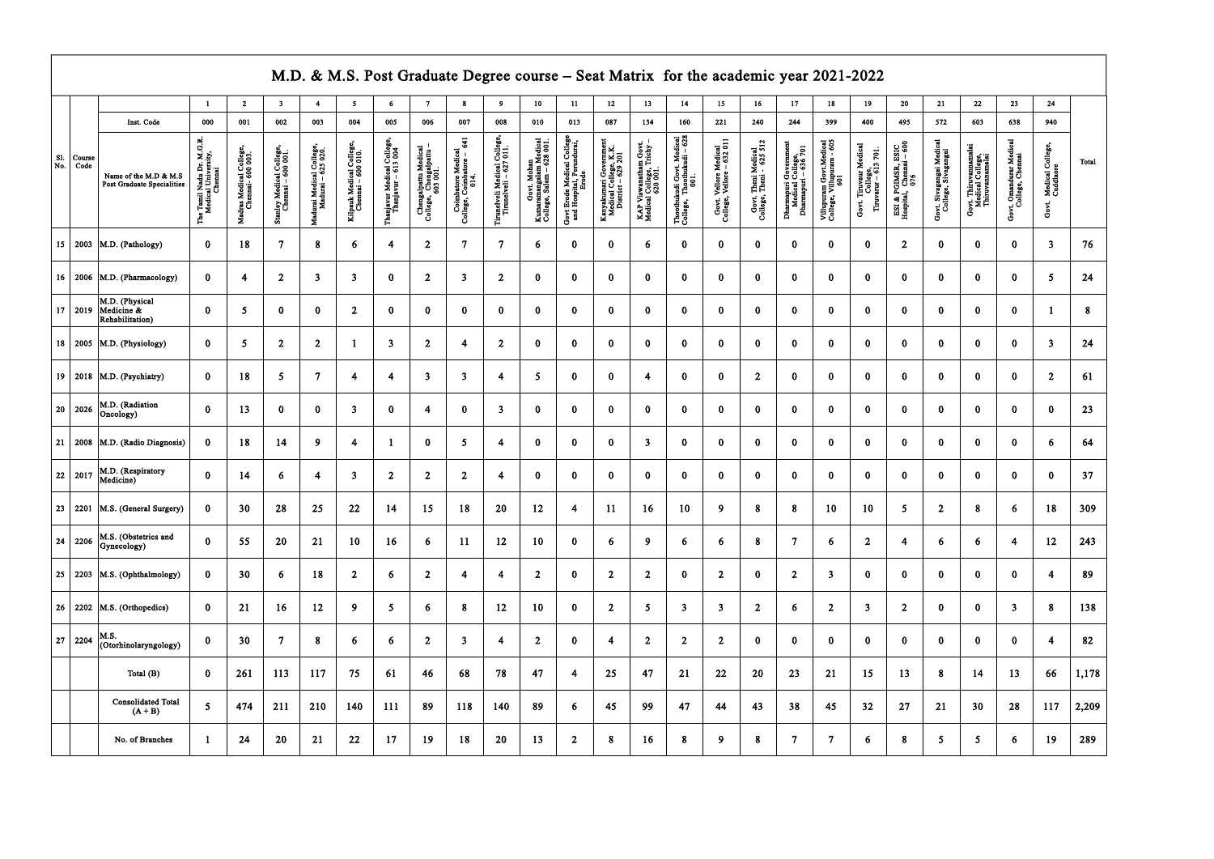|                     |                |                                                     |                                                                              |                                             |                                               |                                                |                                               |                                                   | M.D. & M.S. Post Graduate Degree course - Seat Matrix for the academic year 2021-2022 |                                                         |                                                        |                                                                    |                                                                  |                                                                       |                                                                |                                                                 |                                                     |                                                 |                                                                   |                                                             |                                                                                |                                                     |                                                 |                                                            |                                             |                                        |       |
|---------------------|----------------|-----------------------------------------------------|------------------------------------------------------------------------------|---------------------------------------------|-----------------------------------------------|------------------------------------------------|-----------------------------------------------|---------------------------------------------------|---------------------------------------------------------------------------------------|---------------------------------------------------------|--------------------------------------------------------|--------------------------------------------------------------------|------------------------------------------------------------------|-----------------------------------------------------------------------|----------------------------------------------------------------|-----------------------------------------------------------------|-----------------------------------------------------|-------------------------------------------------|-------------------------------------------------------------------|-------------------------------------------------------------|--------------------------------------------------------------------------------|-----------------------------------------------------|-------------------------------------------------|------------------------------------------------------------|---------------------------------------------|----------------------------------------|-------|
|                     |                |                                                     | $\blacksquare$                                                               | $\overline{2}$                              | $\overline{\mathbf{3}}$                       | 4                                              | $\mathbf{5}$                                  | 6                                                 | 7                                                                                     | $\boldsymbol{8}$                                        | 9                                                      | 10                                                                 | 11                                                               | 12 <sub>12</sub>                                                      | 13                                                             | 14                                                              | $15\,$                                              | 16                                              | 17                                                                | 18                                                          | 19                                                                             | 20                                                  | 21                                              | 22                                                         | 23                                          | 24                                     |       |
|                     |                | Inst. Code                                          | 000                                                                          | 001                                         | 002                                           | 003                                            | 004                                           | 005                                               | 006                                                                                   | 007                                                     | 008                                                    | 010                                                                | 013                                                              | 087                                                                   | 134                                                            | 160                                                             | 221                                                 | 240                                             | 244                                                               | 399                                                         | 400                                                                            | 495                                                 | 572                                             | 603                                                        | 638                                         | 940                                    |       |
| <b>S1.</b><br>  No. | Course<br>Code | Name of the M.D & M.S<br>Post Graduate Specialities | Dr. M.G.R.<br>versity,<br>Nadu<br>1 Univ<br>Chemna<br>The Tamil I<br>Medical | Madras Medical College,<br>Chemai- 600 003. | Stanley Medical College,<br>Chemai – 600 001. | Madurai Medical College,<br>Madurai – 625 020. | Kilpauk Medical College,<br>Chemai – 600 010. | Thanjavur Medical College,<br>Thanjavur – 613 004 | Chengalpattu Medical<br>College, Chengalpattu –<br>603 001.                           | Coimbatore Medical<br>College, Coimbatore – 641<br>014. | Tirunelveli Medical College,<br>Tirunelveli – 627 011. | Govt. Mohan<br>Kumaramangalam Medical<br>College, Salem – 628 001. | Govt Erode Medical College<br>and Hospital, Perundurai,<br>Erode | Kanyakumari Government<br>Medical College, K.K.<br>District – 629 201 | KAP Viswanatham Govt.<br>Medical College, Trichy –<br>620 001. | Thoothukudi Govt. Medical<br>College, Thoothukudi – 628<br>001. | Govt. Vellore Medical<br>College, Vellore – 632 011 | Govt. Theni Medical<br>College, Theni - 625 512 | Dharmapuri Government<br>Medical College,<br>Dharmapuri – 636 701 | Villupuram Govt.Medical<br>College, Villupuram - 605<br>601 | Medical<br>Govt. Tiruvaur Medical<br>College,<br>Tiruvarur – 613 701.<br>Govt. | ESI & PGIMSR, ESIC<br>Hospital, Chemai – 600<br>076 | Govt. Sivagangai Medical<br>College, Sivagangai | Govt. Thiruvamamalai<br>Medical College,<br>Thiruvamamalai | Govt. Omandurar Medical<br>College, Chennai | Medical College,<br>Cuddlaore<br>Govt. | Total |
|                     |                | 15   2003   M.D. (Pathology)                        | $\mathbf{0}$                                                                 | 18                                          | $\overline{7}$                                | 8                                              | 6                                             | 4                                                 | $\overline{2}$                                                                        | $\overline{7}$                                          | $7\overline{ }$                                        | 6                                                                  | $\bf{0}$                                                         | $\bf{0}$                                                              | 6                                                              | $\bf{0}$                                                        | $\bf{0}$                                            | $\bf{0}$                                        | $\mathbf{0}$                                                      | $\bf{0}$                                                    | $\bf{0}$                                                                       | $\overline{2}$                                      | $\mathbf{0}$                                    | $\mathbf{0}$                                               | $\mathbf{0}$                                | $\mathbf{3}$                           | 76    |
|                     |                | 16   2006   M.D. (Pharmacology)                     | $\mathbf{0}$                                                                 | 4                                           | $\overline{2}$                                | 3 <sup>1</sup>                                 | $\overline{\mathbf{3}}$                       | $\mathbf{0}$                                      | $\mathbf{2}$                                                                          | $\mathbf{3}$                                            | $2^{\circ}$                                            | $\bf{0}$                                                           | $\bf{0}$                                                         | $\mathbf{0}$                                                          | $\bf{0}$                                                       | $\bf{0}$                                                        | $\bf{0}$                                            | $\bf{0}$                                        | $\bf{0}$                                                          | $\bf{0}$                                                    | $\bf{0}$                                                                       | $\bf{0}$                                            | $\bf{0}$                                        | $\bf{0}$                                                   | $\mathbf{0}$                                | $5\overline{)}$                        | 24    |
| $17 \mid 2019$      |                | M.D. (Physical<br>Medicine &<br>Rehabilitation)     | $\mathbf{0}$                                                                 | 5 <sup>5</sup>                              | $\bf{0}$                                      | $\bf{0}$                                       | $\overline{2}$                                | $\bf{0}$                                          | $\mathbf{0}$                                                                          | $\bf{0}$                                                | $\mathbf{0}$                                           | $\bf{0}$                                                           | $\bf{0}$                                                         | $\mathbf{0}$                                                          | $\mathbf{0}$                                                   | $\bf{0}$                                                        | $\bf{0}$                                            | $\bf{0}$                                        | $\bf{0}$                                                          | $\bf{0}$                                                    | $\bf{0}$                                                                       | $\bf{0}$                                            | $\bf{0}$                                        | $\mathbf{0}$                                               | $\bf{0}$                                    |                                        | 8     |
|                     |                | 18   2005   M.D. (Physiology)                       | $\mathbf{0}$                                                                 | 5                                           | $\overline{2}$                                | $\overline{2}$                                 |                                               | $\overline{\mathbf{3}}$                           | $\overline{2}$                                                                        | $\overline{4}$                                          | $\overline{2}$                                         | $\mathbf{0}$                                                       | $\bf{0}$                                                         | $\mathbf{0}$                                                          | $\bf{0}$                                                       | $\bf{0}$                                                        | $\bf{0}$                                            | $\bf{0}$                                        | $\bf{0}$                                                          | $\mathbf{0}$                                                | $\bf{0}$                                                                       | $\bf{0}$                                            | $\bf{0}$                                        | $\Omega$                                                   | $\bf{0}$                                    | $\mathbf{3}$                           | 24    |
|                     |                | 19   2018   M.D. (Psychiatry)                       | $\bf{0}$                                                                     | 18                                          | $\overline{5}$                                | $\overline{7}$                                 | 4                                             | $\overline{\mathbf{4}}$                           | 3                                                                                     | 3                                                       | $\overline{4}$                                         | $\mathbf{5}$                                                       | $\bf{0}$                                                         | $\bf{0}$                                                              | $\overline{4}$                                                 | $\bf{0}$                                                        | $\bf{0}$                                            | $\overline{2}$                                  | $\bf{0}$                                                          | $\bf{0}$                                                    | $\bf{0}$                                                                       | $\bf{0}$                                            | $\mathbf{0}$                                    | $\bf{0}$                                                   | $\bf{0}$                                    | $\overline{2}$                         | 61    |
| 20 2026             |                | M.D. (Radiation<br>Oncology)                        | $\mathbf{0}$                                                                 | 13                                          | $\bf{0}$                                      | $\bf{0}$                                       | $\overline{\mathbf{3}}$                       | $\bf{0}$                                          | 4                                                                                     | $\bf{0}$                                                | $\mathbf{3}$                                           | $\bf{0}$                                                           | $\bf{0}$                                                         | $\mathbf{0}$                                                          | $\bf{0}$                                                       | $\bf{0}$                                                        | $\bf{0}$                                            | $\bf{0}$                                        | $\bf{0}$                                                          | $\bf{0}$                                                    | $\bf{0}$                                                                       | $\bf{0}$                                            | $\bf{0}$                                        | $\bf{0}$                                                   | $\bf{0}$                                    | $\bf{0}$                               | 23    |
|                     |                | 21   2008   M.D. (Radio Diagnosis)                  | $\bf{0}$                                                                     | 18                                          | 14                                            | 9                                              | 4                                             | -1                                                | $\bf{0}$                                                                              | $5\phantom{.0}$                                         | 4                                                      | $\bf{0}$                                                           | $\bf{0}$                                                         | $\mathbf{0}$                                                          | $\mathbf{3}$                                                   | $\bf{0}$                                                        | $\bf{0}$                                            | $\bf{0}$                                        | $\mathbf{0}$                                                      | $\mathbf{0}$                                                | $\bf{0}$                                                                       | $\bf{0}$                                            | $\bf{0}$                                        | $\bf{0}$                                                   | $\mathbf{0}$                                | 6                                      | 64    |
| 22 2017             |                | M.D. (Respiratory<br>Medicine)                      | $\mathbf{0}$                                                                 | 14                                          | 6                                             | $\boldsymbol{4}$                               | $\overline{3}$                                | $\overline{2}$                                    | $\overline{2}$                                                                        | $2^{\circ}$                                             | 4                                                      | $\bf{0}$                                                           | $\bf{0}$                                                         | $\mathbf{0}$                                                          | $\bf{0}$                                                       | $\bf{0}$                                                        | $\bf{0}$                                            | $\mathbf{0}$                                    | $\mathbf{0}$                                                      | $\bf{0}$                                                    | $\bf{0}$                                                                       | $\bf{0}$                                            | $\bf{0}$                                        | $\mathbf{0}$                                               | $\mathbf{0}$                                | $\mathbf{0}$                           | 37    |
| 23                  |                | 2201   M.S. (General Surgery)                       | $\bf{0}$                                                                     | 30                                          | 28                                            | 25                                             | 22                                            | 14                                                | 15                                                                                    | 18                                                      | 20                                                     | 12                                                                 | $\overline{\mathbf{4}}$                                          | 11                                                                    | 16                                                             | 10                                                              | 9                                                   | 8                                               | -8                                                                | 10                                                          | 10                                                                             | 5                                                   | $\overline{2}$                                  | 8                                                          | 6                                           | 18                                     | 309   |
| 24                  | 2206           | M.S. (Obstetrics and<br>Gynecology)                 | $\bf{0}$                                                                     | 55                                          | 20                                            | 21                                             | 10                                            | 16                                                | 6                                                                                     | 11                                                      | 12                                                     | 10                                                                 | $\bf{0}$                                                         | 6                                                                     | 9                                                              | 6                                                               | 6                                                   | ${\bf 8}$                                       | -7                                                                | 6                                                           | $\overline{2}$                                                                 | $\overline{4}$                                      | 6                                               | 6                                                          | $\overline{\mathbf{4}}$                     | 12                                     | 243   |
|                     |                | 25   2203   M.S. (Ophthalmology)                    | $\mathbf{0}$                                                                 | 30                                          | 6                                             | 18                                             | $\overline{2}$                                | 6                                                 | $\overline{2}$                                                                        | $\overline{4}$                                          | $\overline{\mathbf{4}}$                                | $\overline{2}$                                                     | $\bf{0}$                                                         | $\overline{2}$                                                        | $\overline{2}$                                                 | $\bf{0}$                                                        | $\overline{2}$                                      | $\mathbf{0}$                                    | $\overline{2}$                                                    | $\overline{\mathbf{3}}$                                     | $\bf{0}$                                                                       | $\bf{0}$                                            | $\mathbf{0}$                                    | $\bf{0}$                                                   | $\bf{0}$                                    | $\overline{\mathbf{4}}$                | 89    |
|                     |                | 26   2202   M.S. (Orthopedics)                      | $\mathbf{0}$                                                                 | 21                                          | 16                                            | 12                                             | 9                                             | $5\phantom{.0}$                                   | 6                                                                                     | $\bf 8$                                                 | 12                                                     | 10                                                                 | $\bf{0}$                                                         | $\overline{2}$                                                        | $5\overline{5}$                                                | 3 <sup>1</sup>                                                  | $\mathbf{3}$                                        | $\boldsymbol{2}$                                | 6                                                                 | $\overline{2}$                                              | $\overline{\mathbf{3}}$                                                        | $\overline{2}$                                      | $\mathbf{0}$                                    | $\bf{0}$                                                   | $\overline{\mathbf{3}}$                     | 8                                      | 138   |
| 27                  | 2204           | M.S.<br>(Otorhinolaryngology)                       | $\mathbf{0}$                                                                 | 30 <sup>°</sup>                             | $\overline{7}$                                | 8                                              | 6                                             | 6                                                 | $2^{\circ}$                                                                           | $\mathbf{3}$                                            | $\overline{4}$                                         | $\overline{2}$                                                     | $\bf{0}$                                                         | 4                                                                     | 2 <sup>1</sup>                                                 | $\overline{2}$                                                  | $\overline{2}$                                      | $\bf{0}$                                        | $\bf{0}$                                                          | $\mathbf{0}$                                                | $\bf{0}$                                                                       | $\bf{0}$                                            | $\mathbf{0}$                                    | $\bf{0}$                                                   | $\mathbf{0}$                                | $\overline{4}$                         | 82    |
|                     |                | Total (B)                                           | $\mathbf{0}$                                                                 | 261                                         | 113                                           | 117                                            | 75                                            | 61                                                | 46                                                                                    | 68                                                      | 78                                                     | 47                                                                 | $\overline{4}$                                                   | 25                                                                    | 47                                                             | 21                                                              | 22                                                  | 20                                              | 23                                                                | 21                                                          | 15                                                                             | 13                                                  | 8                                               | 14                                                         | 13                                          | 66                                     | 1,178 |
|                     |                | <b>Consolidated Total</b><br>$(A + B)$              | 5 <sup>5</sup>                                                               | 474                                         | 211                                           | 210                                            | 140                                           | 111                                               | 89                                                                                    | 118                                                     | 140                                                    | 89                                                                 | 6                                                                | 45                                                                    | 99                                                             | 47                                                              | 44                                                  | 43                                              | 38                                                                | 45                                                          | 32                                                                             | 27                                                  | 21                                              | 30                                                         | 28                                          | 117                                    | 2,209 |
|                     |                | No. of Branches                                     |                                                                              | 24                                          | 20                                            | 21                                             | 22                                            | 17                                                | 19                                                                                    | 18                                                      | 20                                                     | 13                                                                 | $\overline{2}$                                                   | 8                                                                     | 16                                                             | 8                                                               | 9                                                   | ${\bf 8}$                                       | -7                                                                | $\tau$                                                      | 6                                                                              | 8                                                   | 5 <sup>5</sup>                                  | 5                                                          | 6                                           | 19                                     | 289   |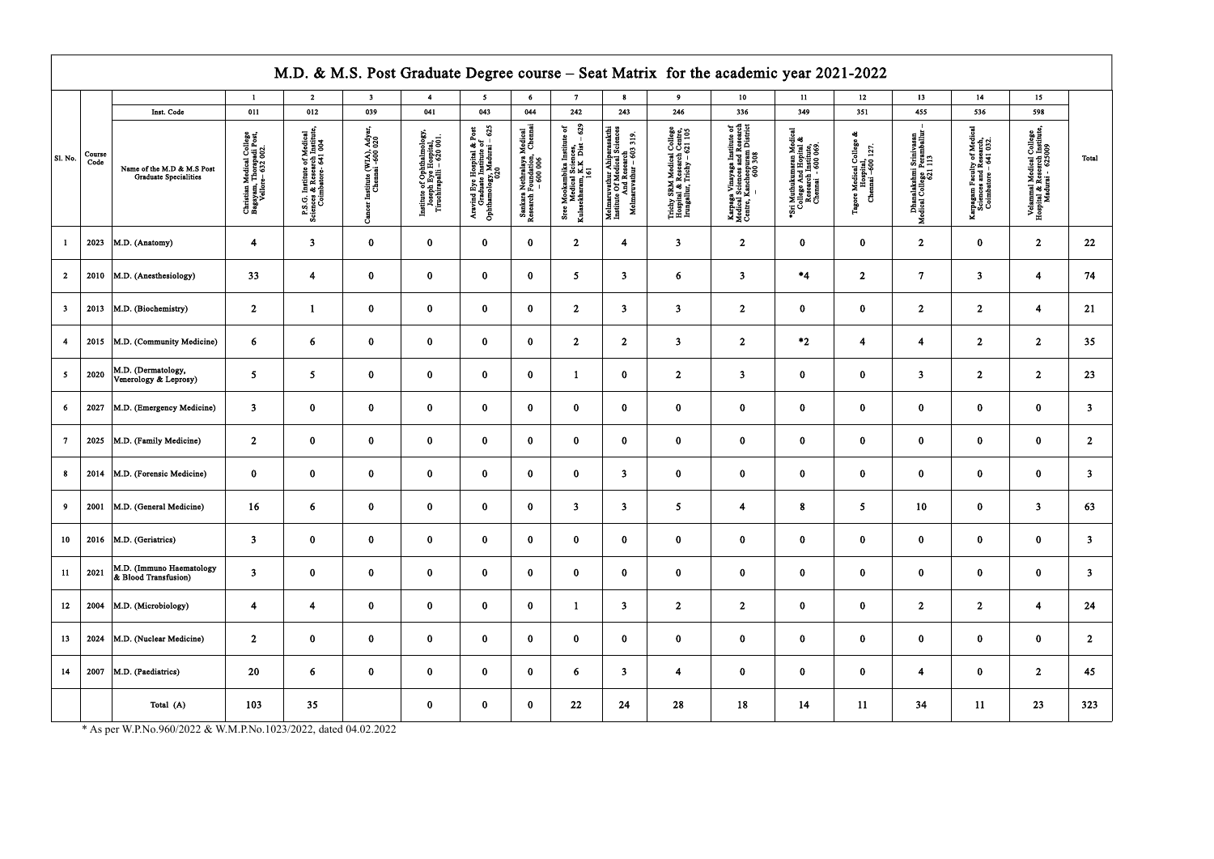\* As per W.P.No.960/2022 & W.M.P.No.1023/2022, dated 04.02.2022

|                         |                |                                                            |                                                                            |                                                                                     |                                               |                                                                                  |                                                                                     |                                                                                                    |                                                                                                 |                                                                                                          |                                                                                           | M.D. & M.S. Post Graduate Degree course - Seat Matrix for the academic year 2021-2022                                                             |                                                                                                 |                                                                    |                                                                   |                                                                              |                                                                               |                         |
|-------------------------|----------------|------------------------------------------------------------|----------------------------------------------------------------------------|-------------------------------------------------------------------------------------|-----------------------------------------------|----------------------------------------------------------------------------------|-------------------------------------------------------------------------------------|----------------------------------------------------------------------------------------------------|-------------------------------------------------------------------------------------------------|----------------------------------------------------------------------------------------------------------|-------------------------------------------------------------------------------------------|---------------------------------------------------------------------------------------------------------------------------------------------------|-------------------------------------------------------------------------------------------------|--------------------------------------------------------------------|-------------------------------------------------------------------|------------------------------------------------------------------------------|-------------------------------------------------------------------------------|-------------------------|
|                         |                |                                                            | $\mathbf{1}$                                                               | $\overline{2}$                                                                      | $\overline{\mathbf{3}}$                       | $\overline{4}$                                                                   | $5^{\circ}$                                                                         | 6                                                                                                  | 7 <sup>7</sup>                                                                                  | $\bf{8}$                                                                                                 | 9 <sup>°</sup>                                                                            | $10-10$                                                                                                                                           | 11                                                                                              | 12                                                                 | 13 <sup>7</sup>                                                   | 14                                                                           | 15 <sub>15</sub>                                                              |                         |
|                         |                | Inst. Code                                                 | 011                                                                        | 012                                                                                 | 039                                           | 041                                                                              | 043                                                                                 | 044                                                                                                | 242                                                                                             | 243                                                                                                      | 246                                                                                       | 336                                                                                                                                               | 349                                                                                             | 351                                                                | 455                                                               | 536                                                                          | 598                                                                           |                         |
| $\vert$ Sl. No.         | Course<br>Code | Name of the M.D & M.S Post<br><b>Graduate Specialities</b> | Christian Medical College<br>Bagayam, Thorapadi Post,<br>Vellore- 632 002. | P.S.G. Institute of Medical<br>Sciences & Research Institute<br>Coimbatore- 641 004 | Institute (WIA), Adyi<br>Chemai -600 020<br>ి | Institute of Ophthalmology,<br>Joseph Eye Hospital,<br>Tiruchirapalli – 620 001. | Aravind Eye Hospital & Post<br>Craduate Institute of<br>Ophthamology, Madurai – 625 | Medical<br>Chemaa<br>Sankara Nethralaya Messearch Foundation,<br>Research Foundation,<br>- 600 006 | 629<br>Sree Mookambika Institute of<br>Medical Sciences,<br>Kulasekharam, K.K Dist – 629<br>161 | Melmaruvathur Ahiparasakthi<br>Institute Of Medical Sciences<br>And Research<br>Melmaruvathur – 603 319. | Trichy SRM Medical College<br>Hospital & Research Centre,<br>Irungallur, Trichy – 621 105 | $\begin{array}{c} \texttt{Karpaga Vimayaga Institute of Medical Sciences and Research Center, Kancheopuram District} \\ - & 600\,308 \end{array}$ | *Sri Muthukumaran Medical<br>College And Hopital &<br>Research Institute,<br>Chemnai - 600 069. | College<br>Tagore Medical College<br>Hospital,<br>Chemai –600 127. | Dhanalakshmi Srinivasan<br>Medical College Peramballur<br>621 113 | Carpagam Faculty of Medic<br>Sciences and Research,<br>Coimbatore – 641 032. | Velammal Medical College<br>Hospital & Resesrch Institute<br>Madurai - 625009 | Total                   |
|                         | 2023           | M.D. (Anatomy)                                             | $\overline{4}$                                                             | $\overline{\mathbf{3}}$                                                             | $\bf{0}$                                      | $\bf{0}$                                                                         | $\bf{0}$                                                                            | $\bf{0}$                                                                                           | $\overline{2}$                                                                                  | $\overline{4}$                                                                                           | $\overline{\mathbf{3}}$                                                                   | 2 <sup>1</sup>                                                                                                                                    | $\mathbf{0}$                                                                                    | $\mathbf{0}$                                                       | $\overline{2}$                                                    | $\bf{0}$                                                                     | $\overline{2}$                                                                | 22                      |
| $\overline{2}$          | 2010           | M.D. (Anesthesiology)                                      | 33                                                                         | $\overline{\mathbf{4}}$                                                             | $\bf{0}$                                      | $\bf{0}$                                                                         | $\bf{0}$                                                                            | $\bf{0}$                                                                                           | 5 <sup>1</sup>                                                                                  | $\overline{\mathbf{3}}$                                                                                  | 6                                                                                         | $\mathbf{3}$                                                                                                                                      | $*_{4}$                                                                                         | $\overline{2}$                                                     | $\overline{7}$                                                    | $\mathbf{3}$                                                                 | $\overline{\mathbf{4}}$                                                       | 74                      |
| $\overline{\mathbf{3}}$ | 2013           | M.D. (Biochemistry)                                        | $\overline{2}$                                                             | $\mathbf{1}$                                                                        | $\bf{0}$                                      | $\bf{0}$                                                                         | $\bf{0}$                                                                            | $\bf{0}$                                                                                           | $\overline{2}$                                                                                  | $\mathbf{3}$                                                                                             | $\mathbf{3}$                                                                              | $2^{\circ}$                                                                                                                                       | $\mathbf{0}$                                                                                    | $\bf{0}$                                                           | $\overline{2}$                                                    | $\overline{2}$                                                               | $\overline{4}$                                                                | 21                      |
| 4                       | 2015           | M.D. (Community Medicine)                                  | 6                                                                          | 6                                                                                   | $\bf{0}$                                      | $\bf{0}$                                                                         | $\bf{0}$                                                                            | $\bf{0}$                                                                                           | 2 <sup>1</sup>                                                                                  | $\overline{2}$                                                                                           | $\overline{\mathbf{3}}$                                                                   | $\overline{2}$                                                                                                                                    | $*2$                                                                                            | $\overline{\mathbf{4}}$                                            | $\overline{4}$                                                    | $\overline{2}$                                                               | $\overline{2}$                                                                | 35                      |
| 5 <sup>5</sup>          | 2020           | M.D. (Dermatology,<br>Venerology & Leprosy)                | 5 <sub>5</sub>                                                             | 5 <sub>5</sub>                                                                      | $\bf{0}$                                      | $\bf{0}$                                                                         | $\bf{0}$                                                                            | $\bf{0}$                                                                                           | $\mathbf{1}$                                                                                    | $\bf{0}$                                                                                                 | $\overline{2}$                                                                            | $\mathbf{3}$                                                                                                                                      | $\bf{0}$                                                                                        | $\bf{0}$                                                           | $\overline{\mathbf{3}}$                                           | $\overline{2}$                                                               | $\overline{2}$                                                                | 23                      |
| 6                       | 2027           | M.D. (Emergency Medicine)                                  | $\overline{\mathbf{3}}$                                                    | $\bf{0}$                                                                            | $\bf{0}$                                      | $\bf{0}$                                                                         | $\mathbf{0}$                                                                        | $\bf{0}$                                                                                           | $\mathbf{0}$                                                                                    | $\bf{0}$                                                                                                 | $\mathbf{0}$                                                                              | $\mathbf{0}$                                                                                                                                      | $\bf{0}$                                                                                        | $\mathbf{0}$                                                       | $\bf{0}$                                                          | $\bf{0}$                                                                     | $\bf{0}$                                                                      | $\overline{3}$          |
| $\tau$                  | 2025           | M.D. (Family Medicine)                                     | 2 <sup>1</sup>                                                             | $\bf{0}$                                                                            | $\bf{0}$                                      | $\bf{0}$                                                                         | $\bf{0}$                                                                            | $\bf{0}$                                                                                           | $\mathbf{0}$                                                                                    | $\bf{0}$                                                                                                 | $\bf{0}$                                                                                  | $\bf{0}$                                                                                                                                          | $\bf{0}$                                                                                        | $\mathbf{0}$                                                       | $\bf{0}$                                                          | $\bf{0}$                                                                     | $\bf{0}$                                                                      | $\overline{2}$          |
| 8                       | 2014           | M.D. (Forensic Medicine)                                   | $\bf{0}$                                                                   | $\bf{0}$                                                                            | $\bf{0}$                                      | $\bf{0}$                                                                         | $\bf{0}$                                                                            | $\bf{0}$                                                                                           | $\bf{0}$                                                                                        | $\overline{\mathbf{3}}$                                                                                  | $\bf{0}$                                                                                  | $\bf{0}$                                                                                                                                          | $\bf{0}$                                                                                        | $\bf{0}$                                                           | $\bf{0}$                                                          | $\bf{0}$                                                                     | $\bf{0}$                                                                      | 3                       |
| 9                       | 2001           | M.D. (General Medicine)                                    | 16                                                                         | 6                                                                                   | $\bf{0}$                                      | $\bf{0}$                                                                         | $\bf{0}$                                                                            | $\bf{0}$                                                                                           | $\mathbf{3}$                                                                                    | -3                                                                                                       | 5 <sup>5</sup>                                                                            | 4                                                                                                                                                 | 8                                                                                               | 5 <sup>1</sup>                                                     | 10                                                                | $\bf{0}$                                                                     | $\overline{3}$                                                                | 63                      |
| 10                      |                | 2016   M.D. (Geriatrics)                                   | 3 <sup>7</sup>                                                             | $\bf{0}$                                                                            | $\bf{0}$                                      | $\bf{0}$                                                                         | $\bf{0}$                                                                            | $\mathbf{0}$                                                                                       | $\mathbf{0}$                                                                                    | $\bf{0}$                                                                                                 | $\bf{0}$                                                                                  | $\mathbf{0}$                                                                                                                                      | $\mathbf{0}$                                                                                    | $\mathbf{0}$                                                       | $\mathbf{0}$                                                      | $\bf{0}$                                                                     | $\bf{0}$                                                                      | $\overline{\mathbf{3}}$ |
| 11                      | 2021           | M.D. (Immuno Haematology<br>& Blood Transfusion)           | $\overline{\mathbf{3}}$                                                    | $\bf{0}$                                                                            | $\bf{0}$                                      | $\mathbf{0}$                                                                     | $\bf{0}$                                                                            | $\bf{0}$                                                                                           | $\mathbf{0}$                                                                                    | $\bf{0}$                                                                                                 | $\bf{0}$                                                                                  | $\bf{0}$                                                                                                                                          | $\mathbf{0}$                                                                                    | $\bf{0}$                                                           | $\mathbf{0}$                                                      | $\bf{0}$                                                                     | $\bf{0}$                                                                      | $\overline{\mathbf{3}}$ |
| 12                      | 2004           | M.D. (Microbiology)                                        | $\overline{\mathbf{4}}$                                                    | $\overline{\mathbf{4}}$                                                             | $\bf{0}$                                      | $\bf{0}$                                                                         | $\pmb{0}$                                                                           | $\mathbf{0}$                                                                                       | 1                                                                                               | $\mathbf{3}$                                                                                             | 2 <sub>1</sub>                                                                            | 2 <sub>1</sub>                                                                                                                                    | $\mathbf{0}$                                                                                    | $\mathbf{0}$                                                       | 2 <sub>1</sub>                                                    | $\overline{2}$                                                               | $\overline{4}$                                                                | 24                      |
| 13 <sup>°</sup>         | 2024           | M.D. (Nuclear Medicine)                                    | $\overline{2}$                                                             | $\bf{0}$                                                                            | $\bf{0}$                                      | $\mathbf{0}$                                                                     | $\bf{0}$                                                                            | $\bf{0}$                                                                                           | $\mathbf{0}$                                                                                    | $\bf{0}$                                                                                                 | $\bf{0}$                                                                                  | $\bf{0}$                                                                                                                                          | $\mathbf{0}$                                                                                    | $\mathbf{0}$                                                       | $\mathbf{0}$                                                      | $\bf{0}$                                                                     | $\bf{0}$                                                                      | $\overline{2}$          |
| 14                      | 2007           | $ M.D.$ (Paediatrics)                                      | 20                                                                         | $6\phantom{.}6$                                                                     | $\bf{0}$                                      | $\bf{0}$                                                                         | $\bf{0}$                                                                            | $\bf{0}$                                                                                           | 6                                                                                               | $\overline{\mathbf{3}}$                                                                                  | $\overline{\mathbf{4}}$                                                                   | $\bf{0}$                                                                                                                                          | $\mathbf{0}$                                                                                    | $\bf{0}$                                                           | $\overline{\mathbf{4}}$                                           | $\bf{0}$                                                                     | $\overline{2}$                                                                | 45                      |
|                         |                | Total (A)                                                  | 103                                                                        | 35                                                                                  |                                               | $\bf{0}$                                                                         | $\bf{0}$                                                                            | $\mathbf{0}$                                                                                       | 22                                                                                              | 24                                                                                                       | 28                                                                                        | 18                                                                                                                                                | 14                                                                                              | 11                                                                 | 34                                                                | 11                                                                           | 23                                                                            | 323                     |

┑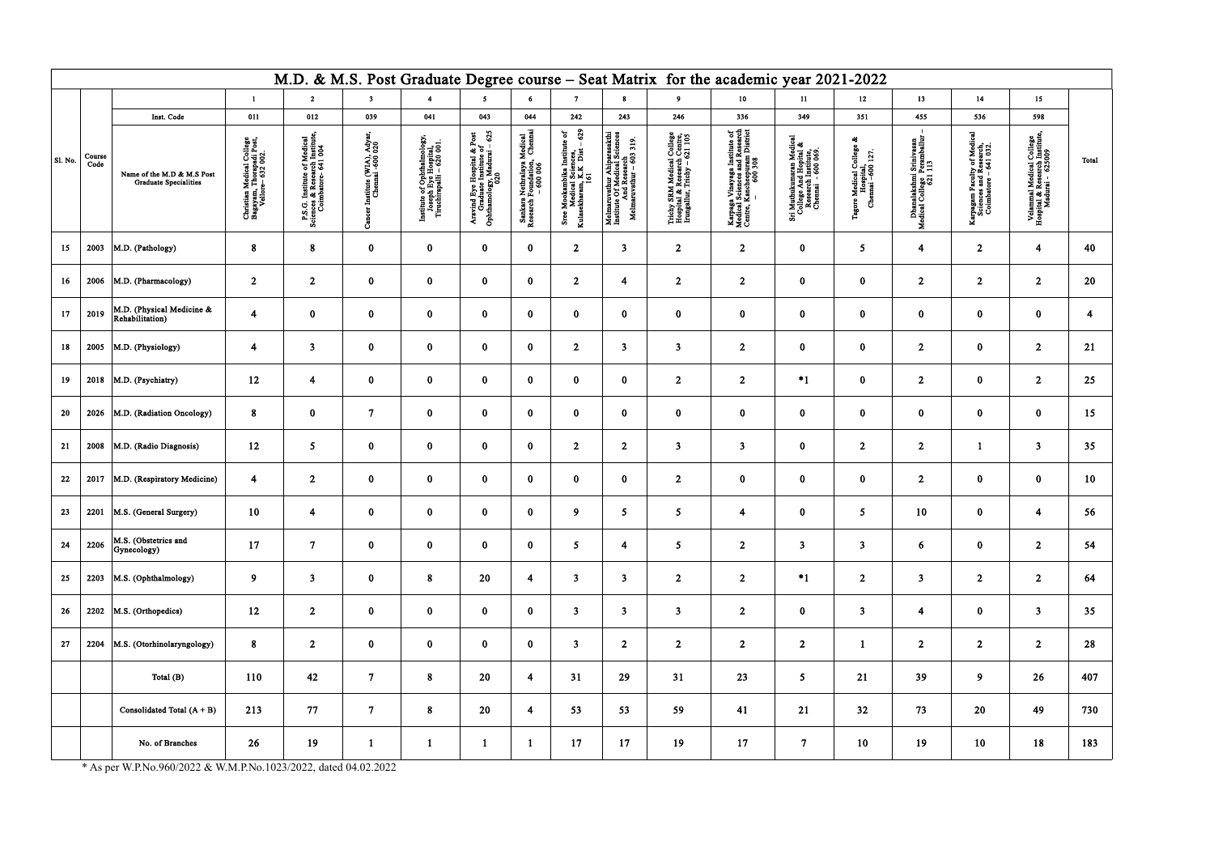\* As per W.P.No.960/2022 & W.M.P.No.1023/2022, dated 04.02.2022

|                 | M.D. & M.S. Post Graduate Degree course - Seat Matrix for the academic year 2021-2022 |                                                            |                                                                            |                                                                                     |                                                 |                                                                                  |                                                                                     |                                                                                |                                                                                                    |                                                                                                                                                                                                              |                                                                                           |                                                                                                                                           |                                                                                                |                                                                          |                                                                       |                                                                               |                                                                                |       |
|-----------------|---------------------------------------------------------------------------------------|------------------------------------------------------------|----------------------------------------------------------------------------|-------------------------------------------------------------------------------------|-------------------------------------------------|----------------------------------------------------------------------------------|-------------------------------------------------------------------------------------|--------------------------------------------------------------------------------|----------------------------------------------------------------------------------------------------|--------------------------------------------------------------------------------------------------------------------------------------------------------------------------------------------------------------|-------------------------------------------------------------------------------------------|-------------------------------------------------------------------------------------------------------------------------------------------|------------------------------------------------------------------------------------------------|--------------------------------------------------------------------------|-----------------------------------------------------------------------|-------------------------------------------------------------------------------|--------------------------------------------------------------------------------|-------|
|                 |                                                                                       |                                                            | $\mathbf{1}$                                                               | $\overline{2}$                                                                      | $\overline{\mathbf{3}}$                         | $\overline{4}$                                                                   | $5^{\circ}$                                                                         | 6                                                                              | $\mathbf{7}$                                                                                       | 8                                                                                                                                                                                                            | 9                                                                                         | 10 <sub>1</sub>                                                                                                                           | 11                                                                                             | 12                                                                       | 13                                                                    | 14                                                                            | 15 <sub>15</sub>                                                               |       |
|                 |                                                                                       | Inst. Code                                                 | 011                                                                        | 012                                                                                 | 039                                             | 041                                                                              | 043                                                                                 | 044                                                                            | 242                                                                                                | 243                                                                                                                                                                                                          | 246                                                                                       | 336                                                                                                                                       | 349                                                                                            | 351                                                                      | 455                                                                   | 536                                                                           | 598                                                                            |       |
| $\vert$ Sl. No. | Course<br>Code                                                                        | Name of the M.D & M.S Post<br><b>Graduate Specialities</b> | Christian Medical College<br>Bagayam, Thorapadi Post,<br>Vellore- 632 002. | P.S.G. Institute of Medical<br>Sciences & Research Institute<br>Coimbatore- 641 004 | Institute (WIA), Adyar<br>Chennai -600 020<br>ౘ | Institute of Ophthalmology,<br>Joseph Eye Hospital,<br>Tiruchirapalli – 620 001. | Aravind Eye Hospital & Post<br>Craduate Institute of<br>Ophthamology, Madurai – 625 | Medical<br>Chemaa<br>Sankara Nethralaya M<br>Research Foundation,<br>- 600 006 | $-629$<br>Sree Mookambika Institute of<br>Medical Sciences,<br>Kulasekharam, K.K Dist – 629<br>161 | $\begin{array}{c} \textbf{Melmarvathum Aliparasakthi} \\ \textbf{Institute Of Medical Sciences} \\ \textbf{And Research} \\ \textbf{And Research} \\ \textbf{Melmarvvathur} - 603 \text{ } 319. \end{array}$ | Trichy SRM Medical College<br>Hospital & Research Centre,<br>Irungallur, Trichy – 621 105 | $\begin{array}{c} \text{Karpaga Vimayaga Institute of Medical Sciences and Research Center, Kancheopuran District = 600\,308 \end{array}$ | Sri Muthukumaran Medical<br>College And Hopital &<br>Research Institute,<br>Chemnai - 600 069. | 48<br>College<br>127.<br>Tagore Medical Co<br>Hospital,<br>Chemai –600 1 | Dhanalakshmi Srinivasan<br>edical College Peramballur<br>621 113<br>Σ | Karpagam Faculty of Medica<br>Sciences and Research,<br>Coimbatore – 641 032. | Velammal Medical College<br>Hospital & Resesrch Institute,<br>Madurai - 625009 | Total |
| 15 <sup>2</sup> | 2003                                                                                  | M.D. (Pathology)                                           | 8                                                                          | 8 <sup>°</sup>                                                                      | $\bf{0}$                                        | $\bf{0}$                                                                         | $\bf{0}$                                                                            | $\mathbf{0}$                                                                   | 2 <sup>1</sup>                                                                                     | $\mathbf{3}$                                                                                                                                                                                                 | $\overline{2}$                                                                            | 2 <sup>1</sup>                                                                                                                            | $\bf{0}$                                                                                       | 5 <sub>5</sub>                                                           | $\overline{\mathbf{4}}$                                               | $\overline{2}$                                                                | $\overline{\mathbf{4}}$                                                        | 40    |
| 16              | 2006                                                                                  | M.D. (Pharmacology)                                        | $\overline{2}$                                                             | $\boldsymbol{2}$                                                                    | $\bf{0}$                                        | $\bf{0}$                                                                         | $\bf{0}$                                                                            | $\bf{0}$                                                                       | $\overline{2}$                                                                                     | $\overline{\mathbf{4}}$                                                                                                                                                                                      | $\overline{2}$                                                                            | $\overline{2}$                                                                                                                            | $\bf{0}$                                                                                       | $\mathbf{0}$                                                             | $\overline{2}$                                                        | $\mathbf{2}$                                                                  | $\overline{2}$                                                                 | 20    |
| 17              | 2019                                                                                  | M.D. (Physical Medicine &<br>Rehabilitation)               | $\overline{\mathbf{4}}$                                                    | $\bf{0}$                                                                            | $\bf{0}$                                        | $\bf{0}$                                                                         | $\bf{0}$                                                                            | $\mathbf{0}$                                                                   | $\bf{0}$                                                                                           | $\bf{0}$                                                                                                                                                                                                     | $\bf{0}$                                                                                  | $\bf{0}$                                                                                                                                  | $\bf{0}$                                                                                       | $\mathbf{0}$                                                             | $\mathbf{0}$                                                          | $\bf{0}$                                                                      | $\bf{0}$                                                                       | 4     |
| 18              | 2005                                                                                  | M.D. (Physiology)                                          | $\overline{4}$                                                             | $\overline{\mathbf{3}}$                                                             | $\bf{0}$                                        | $\bf{0}$                                                                         | $\bf{0}$                                                                            | $\bf{0}$                                                                       | 2 <sup>1</sup>                                                                                     | 3                                                                                                                                                                                                            | $\mathbf{3}$                                                                              | $\overline{2}$                                                                                                                            | $\bf{0}$                                                                                       | $\mathbf{0}$                                                             | $\overline{2}$                                                        | $\bf{0}$                                                                      | $\boldsymbol{2}$                                                               | 21    |
| 19              | 2018                                                                                  | M.D. (Psychiatry)                                          | 12                                                                         | 4                                                                                   | $\bf{0}$                                        | $\bf{0}$                                                                         | $\bf{0}$                                                                            | $\bf{0}$                                                                       | $\mathbf{0}$                                                                                       | $\bf{0}$                                                                                                                                                                                                     | $\overline{2}$                                                                            | 2 <sup>1</sup>                                                                                                                            | $*1$                                                                                           | $\mathbf{0}$                                                             | 2 <sub>1</sub>                                                        | $\bf{0}$                                                                      | $\overline{2}$                                                                 | 25    |
| 20              | 2026                                                                                  | M.D. (Radiation Oncology)                                  | 8                                                                          | $\bf{0}$                                                                            | $\overline{7}$                                  | $\bf{0}$                                                                         | $\bf{0}$                                                                            | $\mathbf{0}$                                                                   | $\bf{0}$                                                                                           | $\bf{0}$                                                                                                                                                                                                     | $\bf{0}$                                                                                  | $\bf{0}$                                                                                                                                  | $\mathbf{0}$                                                                                   | $\mathbf{0}$                                                             | $\mathbf{0}$                                                          | $\bf{0}$                                                                      | $\bf{0}$                                                                       | 15    |
| 21              | 2008                                                                                  | M.D. (Radio Diagnosis)                                     | 12                                                                         | 5 <sub>5</sub>                                                                      | $\bf{0}$                                        | $\bf{0}$                                                                         | $\bf{0}$                                                                            | $\bf{0}$                                                                       | $\overline{2}$                                                                                     | $\mathbf{2}$                                                                                                                                                                                                 | $\mathbf{3}$                                                                              | $\mathbf{3}$                                                                                                                              | $\bf{0}$                                                                                       | $\overline{2}$                                                           | $\overline{2}$                                                        |                                                                               | $\overline{\mathbf{3}}$                                                        | 35    |
| 22              | 2017                                                                                  | M.D. (Respiratory Medicine)                                | $\overline{4}$                                                             | $\boldsymbol{2}$                                                                    | $\bf{0}$                                        | $\bf{0}$                                                                         | $\bf{0}$                                                                            | $\bf{0}$                                                                       | $\bf{0}$                                                                                           | $\bf{0}$                                                                                                                                                                                                     | $\overline{2}$                                                                            | $\bf{0}$                                                                                                                                  | $\bf{0}$                                                                                       | $\mathbf{0}$                                                             | $\overline{2}$                                                        | $\bf{0}$                                                                      | $\bf{0}$                                                                       | 10    |
| 23              | 2201                                                                                  | M.S. (General Surgery)                                     | 10                                                                         | $\overline{\mathbf{4}}$                                                             | $\bf{0}$                                        | $\bf{0}$                                                                         | $\bf{0}$                                                                            | $\mathbf 0$                                                                    | 9                                                                                                  | 5 <sub>5</sub>                                                                                                                                                                                               | 5 <sup>5</sup>                                                                            | 4                                                                                                                                         | $\bf{0}$                                                                                       | 5 <sup>5</sup>                                                           | 10                                                                    | $\bf{0}$                                                                      | $\overline{\mathbf{4}}$                                                        | 56    |
| 24              | 2206                                                                                  | M.S. (Obstetrics and<br>Gynecology)                        | 17                                                                         | $7\phantom{.}$                                                                      | $\bf{0}$                                        | $\mathbf{0}$                                                                     | $\bf{0}$                                                                            | $\mathbf{0}$                                                                   | 5 <sup>7</sup>                                                                                     | $\overline{\mathbf{4}}$                                                                                                                                                                                      | 5 <sub>1</sub>                                                                            | 2 <sub>1</sub>                                                                                                                            | 3 <sup>7</sup>                                                                                 | 3 <sup>1</sup>                                                           | 6 <sup>1</sup>                                                        | $\bf{0}$                                                                      | 2 <sup>1</sup>                                                                 | 54    |
| 25              | 2203                                                                                  | M.S. (Ophthalmology)                                       | 9 <sup>°</sup>                                                             | 3 <sup>1</sup>                                                                      | $\bf{0}$                                        | 8                                                                                | 20                                                                                  | $\overline{4}$                                                                 | 3 <sup>7</sup>                                                                                     | $\mathbf{3}$                                                                                                                                                                                                 | 2 <sub>1</sub>                                                                            | 2 <sup>1</sup>                                                                                                                            | $*1$                                                                                           | 2 <sup>7</sup>                                                           | 3 <sup>1</sup>                                                        | 2 <sup>1</sup>                                                                | $\overline{2}$                                                                 | 64    |
| 26              | 2202                                                                                  | M.S. (Orthopedics)                                         | 12                                                                         | $\overline{2}$                                                                      | $\bf{0}$                                        | $\mathbf{0}$                                                                     | $\bf{0}$                                                                            | $\bf{0}$                                                                       | 3 <sup>7</sup>                                                                                     | $\mathbf{3}$                                                                                                                                                                                                 | 3 <sup>1</sup>                                                                            | 2 <sup>1</sup>                                                                                                                            | $\mathbf{0}$                                                                                   | 3 <sup>1</sup>                                                           | $\overline{\mathbf{4}}$                                               | $\bf{0}$                                                                      | $\mathbf{3}$                                                                   | 35    |
| 27              | 2204                                                                                  | M.S. (Otorhinolaryngology)                                 | 8                                                                          | $\overline{2}$                                                                      | $\bf{0}$                                        | $\mathbf{0}$                                                                     | $\bf{0}$                                                                            | $\bf{0}$                                                                       | 3 <sup>7</sup>                                                                                     | $\overline{2}$                                                                                                                                                                                               | $\overline{2}$                                                                            | 2 <sub>1</sub>                                                                                                                            | 2 <sub>1</sub>                                                                                 | $\mathbf{1}$                                                             | 2 <sub>1</sub>                                                        | $\overline{2}$                                                                | $\overline{2}$                                                                 | 28    |
|                 |                                                                                       | Total (B)                                                  | 110                                                                        | 42                                                                                  | $\overline{7}$                                  | 8                                                                                | 20                                                                                  | $\overline{\mathbf{4}}$                                                        | 31                                                                                                 | 29                                                                                                                                                                                                           | 31                                                                                        | 23                                                                                                                                        | 5 <sub>1</sub>                                                                                 | 21                                                                       | 39                                                                    | 9 <sup>°</sup>                                                                | 26                                                                             | 407   |
|                 |                                                                                       | Consolidated Total $(A + B)$                               | 213                                                                        | 77                                                                                  | $\overline{7}$                                  | 8                                                                                | 20                                                                                  | $\overline{\mathbf{4}}$                                                        | 53                                                                                                 | 53                                                                                                                                                                                                           | 59                                                                                        | 41                                                                                                                                        | 21                                                                                             | 32                                                                       | 73                                                                    | 20                                                                            | 49                                                                             | 730   |
|                 |                                                                                       | No. of Branches                                            | 26                                                                         | 19                                                                                  | $\mathbf{1}$                                    | 1                                                                                |                                                                                     |                                                                                | 17                                                                                                 | 17                                                                                                                                                                                                           | 19                                                                                        | 17                                                                                                                                        | $\tau$                                                                                         | 10                                                                       | 19                                                                    | 10                                                                            | 18                                                                             | 183   |